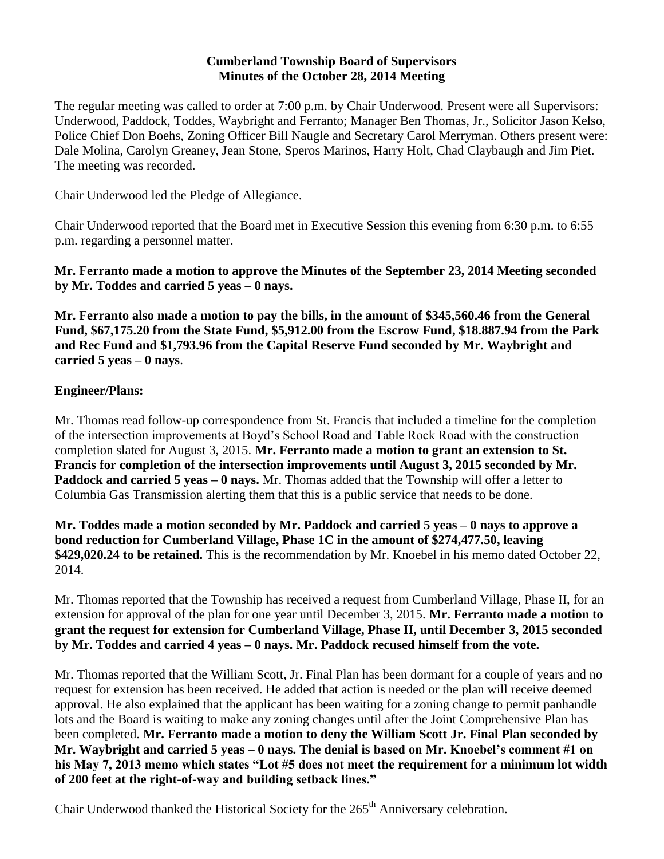### **Cumberland Township Board of Supervisors Minutes of the October 28, 2014 Meeting**

The regular meeting was called to order at 7:00 p.m. by Chair Underwood. Present were all Supervisors: Underwood, Paddock, Toddes, Waybright and Ferranto; Manager Ben Thomas, Jr., Solicitor Jason Kelso, Police Chief Don Boehs, Zoning Officer Bill Naugle and Secretary Carol Merryman. Others present were: Dale Molina, Carolyn Greaney, Jean Stone, Speros Marinos, Harry Holt, Chad Claybaugh and Jim Piet. The meeting was recorded.

Chair Underwood led the Pledge of Allegiance.

Chair Underwood reported that the Board met in Executive Session this evening from 6:30 p.m. to 6:55 p.m. regarding a personnel matter.

**Mr. Ferranto made a motion to approve the Minutes of the September 23, 2014 Meeting seconded by Mr. Toddes and carried 5 yeas – 0 nays.**

**Mr. Ferranto also made a motion to pay the bills, in the amount of \$345,560.46 from the General Fund, \$67,175.20 from the State Fund, \$5,912.00 from the Escrow Fund, \$18.887.94 from the Park and Rec Fund and \$1,793.96 from the Capital Reserve Fund seconded by Mr. Waybright and carried 5 yeas – 0 nays**.

### **Engineer/Plans:**

Mr. Thomas read follow-up correspondence from St. Francis that included a timeline for the completion of the intersection improvements at Boyd's School Road and Table Rock Road with the construction completion slated for August 3, 2015. **Mr. Ferranto made a motion to grant an extension to St. Francis for completion of the intersection improvements until August 3, 2015 seconded by Mr. Paddock and carried 5 yeas – 0 nays.** Mr. Thomas added that the Township will offer a letter to Columbia Gas Transmission alerting them that this is a public service that needs to be done.

**Mr. Toddes made a motion seconded by Mr. Paddock and carried 5 yeas – 0 nays to approve a bond reduction for Cumberland Village, Phase 1C in the amount of \$274,477.50, leaving \$429,020.24 to be retained.** This is the recommendation by Mr. Knoebel in his memo dated October 22, 2014.

Mr. Thomas reported that the Township has received a request from Cumberland Village, Phase II, for an extension for approval of the plan for one year until December 3, 2015. **Mr. Ferranto made a motion to grant the request for extension for Cumberland Village, Phase II, until December 3, 2015 seconded by Mr. Toddes and carried 4 yeas – 0 nays. Mr. Paddock recused himself from the vote.**

Mr. Thomas reported that the William Scott, Jr. Final Plan has been dormant for a couple of years and no request for extension has been received. He added that action is needed or the plan will receive deemed approval. He also explained that the applicant has been waiting for a zoning change to permit panhandle lots and the Board is waiting to make any zoning changes until after the Joint Comprehensive Plan has been completed. **Mr. Ferranto made a motion to deny the William Scott Jr. Final Plan seconded by Mr. Waybright and carried 5 yeas – 0 nays. The denial is based on Mr. Knoebel's comment #1 on his May 7, 2013 memo which states "Lot #5 does not meet the requirement for a minimum lot width of 200 feet at the right-of-way and building setback lines."** 

Chair Underwood thanked the Historical Society for the 265<sup>th</sup> Anniversary celebration.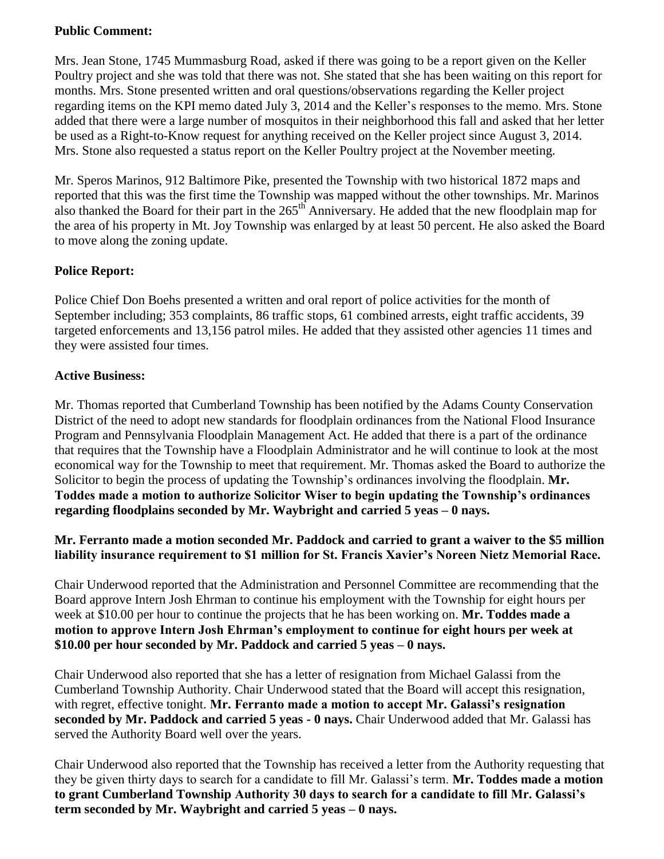## **Public Comment:**

Mrs. Jean Stone, 1745 Mummasburg Road, asked if there was going to be a report given on the Keller Poultry project and she was told that there was not. She stated that she has been waiting on this report for months. Mrs. Stone presented written and oral questions/observations regarding the Keller project regarding items on the KPI memo dated July 3, 2014 and the Keller's responses to the memo. Mrs. Stone added that there were a large number of mosquitos in their neighborhood this fall and asked that her letter be used as a Right-to-Know request for anything received on the Keller project since August 3, 2014. Mrs. Stone also requested a status report on the Keller Poultry project at the November meeting.

Mr. Speros Marinos, 912 Baltimore Pike, presented the Township with two historical 1872 maps and reported that this was the first time the Township was mapped without the other townships. Mr. Marinos also thanked the Board for their part in the 265<sup>th</sup> Anniversary. He added that the new floodplain map for the area of his property in Mt. Joy Township was enlarged by at least 50 percent. He also asked the Board to move along the zoning update.

# **Police Report:**

Police Chief Don Boehs presented a written and oral report of police activities for the month of September including; 353 complaints, 86 traffic stops, 61 combined arrests, eight traffic accidents, 39 targeted enforcements and 13,156 patrol miles. He added that they assisted other agencies 11 times and they were assisted four times.

## **Active Business:**

Mr. Thomas reported that Cumberland Township has been notified by the Adams County Conservation District of the need to adopt new standards for floodplain ordinances from the National Flood Insurance Program and Pennsylvania Floodplain Management Act. He added that there is a part of the ordinance that requires that the Township have a Floodplain Administrator and he will continue to look at the most economical way for the Township to meet that requirement. Mr. Thomas asked the Board to authorize the Solicitor to begin the process of updating the Township's ordinances involving the floodplain. **Mr. Toddes made a motion to authorize Solicitor Wiser to begin updating the Township's ordinances regarding floodplains seconded by Mr. Waybright and carried 5 yeas – 0 nays.**

# **Mr. Ferranto made a motion seconded Mr. Paddock and carried to grant a waiver to the \$5 million liability insurance requirement to \$1 million for St. Francis Xavier's Noreen Nietz Memorial Race.**

Chair Underwood reported that the Administration and Personnel Committee are recommending that the Board approve Intern Josh Ehrman to continue his employment with the Township for eight hours per week at \$10.00 per hour to continue the projects that he has been working on. **Mr. Toddes made a motion to approve Intern Josh Ehrman's employment to continue for eight hours per week at \$10.00 per hour seconded by Mr. Paddock and carried 5 yeas – 0 nays.**

Chair Underwood also reported that she has a letter of resignation from Michael Galassi from the Cumberland Township Authority. Chair Underwood stated that the Board will accept this resignation, with regret, effective tonight. **Mr. Ferranto made a motion to accept Mr. Galassi's resignation seconded by Mr. Paddock and carried 5 yeas - 0 nays.** Chair Underwood added that Mr. Galassi has served the Authority Board well over the years.

Chair Underwood also reported that the Township has received a letter from the Authority requesting that they be given thirty days to search for a candidate to fill Mr. Galassi's term. **Mr. Toddes made a motion to grant Cumberland Township Authority 30 days to search for a candidate to fill Mr. Galassi's term seconded by Mr. Waybright and carried 5 yeas – 0 nays.**